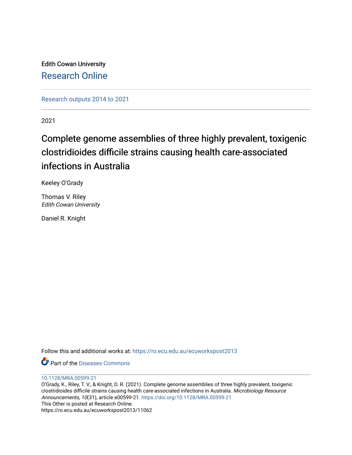Edith Cowan University [Research Online](https://ro.ecu.edu.au/) 

[Research outputs 2014 to 2021](https://ro.ecu.edu.au/ecuworkspost2013) 

2021

# Complete genome assemblies of three highly prevalent, toxigenic clostridioides difficile strains causing health care-associated infections in Australia

Keeley O'Grady

Thomas V. Riley Edith Cowan University

Daniel R. Knight

Follow this and additional works at: [https://ro.ecu.edu.au/ecuworkspost2013](https://ro.ecu.edu.au/ecuworkspost2013?utm_source=ro.ecu.edu.au%2Fecuworkspost2013%2F11062&utm_medium=PDF&utm_campaign=PDFCoverPages) 

**C** Part of the [Diseases Commons](http://network.bepress.com/hgg/discipline/813?utm_source=ro.ecu.edu.au%2Fecuworkspost2013%2F11062&utm_medium=PDF&utm_campaign=PDFCoverPages)

[10.1128/MRA.00599-21](http://dx.doi.org/10.1128/MRA.00599-21) 

O'Grady, K., Riley, T. V., & Knight, D. R. (2021). Complete genome assemblies of three highly prevalent, toxigenic clostridioides difficile strains causing health care-associated infections in Australia. Microbiology Resource Announcements, 10(31), article e00599-21.<https://doi.org/10.1128/MRA.00599-21> This Other is posted at Research Online. https://ro.ecu.edu.au/ecuworkspost2013/11062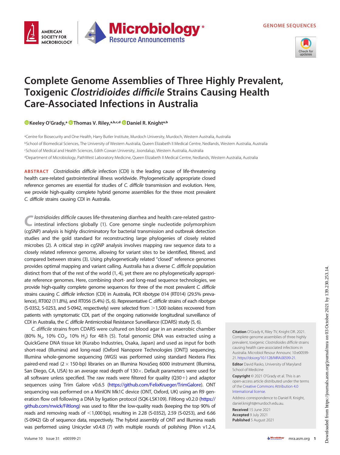GENOME SEQUENCES



## Complete Genome Assemblies of Three Highly Prevalent, Toxigenic Clostridioides difficile Strains Causing Health Care-Associated Infections in Australia

**Microbiology** 

**Resource Announcements** 

[Keeley O](https://orcid.org/0000-0002-7498-9742)'Grady,<sup>a @</sup>[Thomas V. Riley,](https://orcid.org/0000-0002-1351-3740)<sup>a,b,c,d</sup> @Daniel R. Knight<sup>a,b</sup>

**AMFRICAN SOCIETY FOR** 

**MICROBIOLOGY** 

aCentre for Biosecurity and One Health, Harry Butler Institute, Murdoch University, Murdoch, Western Australia, Australia bSchool of Biomedical Sciences, The University of Western Australia, Queen Elizabeth II Medical Centre, Nedlands, Western Australia, Australia c School of Medical and Health Sciences, Edith Cowan University, Joondalup, Western Australia, Australia dDepartment of Microbiology, PathWest Laboratory Medicine, Queen Elizabeth II Medical Centre, Nedlands, Western Australia, Australia

ABSTRACT Clostridioides difficile infection (CDI) is the leading cause of life-threatening health care-related gastrointestinal illness worldwide. Phylogenetically appropriate closed reference genomes are essential for studies of C. difficile transmission and evolution. Here, we provide high-quality complete hybrid genome assemblies for the three most prevalent C. difficile strains causing CDI in Australia.

lostridioides difficile causes life-threatening diarrhea and health care-related gastrointestinal infections globally [\(1\)](#page-2-0). Core genome single nucleotide polymorphism (cgSNP) analysis is highly discriminatory for bacterial transmission and outbreak detection studies and the gold standard for reconstructing large phylogenies of closely related microbes [\(2](#page-2-1)). A critical step in cgSNP analysis involves mapping raw sequence data to a closely related reference genome, allowing for variant sites to be identified, filtered, and compared between strains [\(3\)](#page-2-2). Using phylogenetically related "closed" reference genomes provides optimal mapping and variant calling. Australia has a diverse C. difficile population distinct from that of the rest of the world ([1](#page-2-0), [4\)](#page-2-3), yet there are no phylogenetically appropriate reference genomes. Here, combining short- and long-read sequence technologies, we provide high-quality complete genome sequences for three of the most prevalent C. difficile strains causing C. difficile infection (CDI) in Australia, PCR ribotype 014 (RT014) (29.5% prevalence), RT002 (11.8%), and RT056 (5.4%) [\(5](#page-2-4), [6](#page-2-5)). Representative C. difficile strains of each ribotype (S-0352, S-0253, and S-0942, respectively) were selected from >1,500 isolates recovered from patients with symptomatic CDI, part of the ongoing nationwide longitudinal surveillance of CDI in Australia, the C. difficile Antimicrobial Resistance Surveillance (CDARS) study ([5,](#page-2-4) [6\)](#page-2-5).

C. difficile strains from CDARS were cultured on blood agar in an anaerobic chamber (80% N<sub>2</sub>, 10% CO<sub>2</sub>, 10% H<sub>2</sub>) for 48 h [\(5\)](#page-2-4). Total genomic DNA was extracted using a QuickGene DNA tissue kit (Kurabo Industries, Osaka, Japan) and used as input for both short-read (Illumina) and long-read (Oxford Nanopore Technologies [ONT]) sequencing. Illumina whole-genome sequencing (WGS) was performed using standard Nextera Flex paired-end read  $(2 \times 150$ -bp) libraries on an Illumina NovaSeq 6000 instrument (Illumina, San Diego, CA, USA) to an average read depth of  $130\times$ . Default parameters were used for all software unless specified. The raw reads were filtered for quality  $(Q30+)$  and adaptor sequences using Trim Galore v0.6.5 [\(https://github.com/FelixKrueger/TrimGalore\)](https://github.com/FelixKrueger/TrimGalore). ONT sequencing was performed on a MinION Mk1C device (ONT, Oxford, UK) using an R9 gen-eration flow cell following a DNA by ligation protocol (SQK-LSK109). Filtlong v0.2.0 [\(https://](https://github.com/rrwick/Filtlong) [github.com/rrwick/Filtlong\)](https://github.com/rrwick/Filtlong) was used to filter the low-quality reads (keeping the top 90% of reads and removing reads of  $<$ 1,000 bp), resulting in 2.28 (S-0352), 2.59 (S-0253), and 6.66 (S-0942) Gb of sequence data, respectively. The hybrid assembly of ONT and Illumina reads was performed using Unicycler v0.4.8 ([7\)](#page-3-0) with multiple rounds of polishing (Pilon v1.2.4,

Citation O'Grady K, Riley TV, Knight DR. 2021. Complete genome assemblies of three highly prevalent, toxigenic Clostridioides difficile strains causing health care-associated infections in Australia. Microbiol Resour Announc 10:e00599- 21. <https://doi.org/10.1128/MRA.00599-21>.

**Editor** David Rasko, University of Maryland School of Medicine

Copyright © 2021 O'Grady et al. This is an open-access article distributed under the terms of the [Creative Commons Attribution 4.0](https://creativecommons.org/licenses/by/4.0/) [International license](https://creativecommons.org/licenses/by/4.0/).

Address correspondence to Daniel R. Knight, daniel.knight@murdoch.edu.au.

Received 15 June 2021 Accepted 9 July 2021 Published 5 August 2021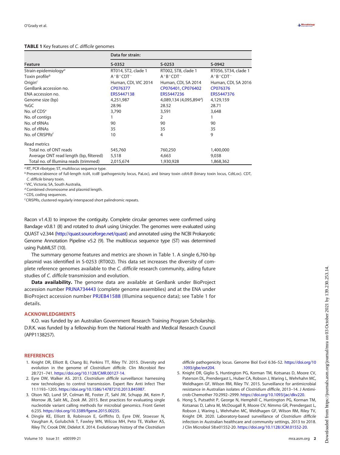### <span id="page-2-6"></span>TABLE 1 Key features of C. difficile genomes

|                                        | Data for strain:     |                      |                      |
|----------------------------------------|----------------------|----------------------|----------------------|
| Feature                                | S-0352               | $S-0253$             | S-0942               |
| Strain epidemiology <sup>a</sup>       | RT014, ST2, clade 1  | RT002, ST8, clade 1  | RT056, ST34, clade 1 |
| Toxin profile $^b$                     | $A+B+CDT^{-}$        | $A+B+CDT^{-}$        | $A+B+CDT^-$          |
| Origin $c$                             | Human, CDI, VIC 2014 | Human, CDI, SA 2014  | Human, CDI, SA 2016  |
| GenBank accession no.                  | CP076377             | CP076401, CP076402   | CP076376             |
| ENA accession no.                      | ERS5447138           | ERS5447236           | ERS5447376           |
| Genome size (bp)                       | 4,251,987            | 4,089,134(4,095,894) | 4,129,159            |
| % $GC$                                 | 28.96                | 28.52                | 28.71                |
| No. of $CDSe$                          | 3,790                | 3,591                | 3,648                |
| No. of contigs                         |                      | 2                    |                      |
| No. of tRNAs                           | 90                   | 90                   | 90                   |
| No. of rRNAs                           | 35                   | 35                   | 35                   |
| No. of CRISPRs $^f$                    | 10                   | 4                    | 9                    |
| Read metrics                           |                      |                      |                      |
| Total no. of ONT reads                 | 545,760              | 760,250              | 1,400,000            |
| Average ONT read length (bp, filtered) | 5,518                | 4,663                | 9,038                |
| Total no. of Illumina reads (trimmed)  | 2,015,674            | 1,930,928            | 1,868,362            |

<sup>a</sup> RT, PCR ribotype; ST, multilocus sequence type.

<sup>b</sup> Presence/absence of full-length tcdA, tcdB (pathogenicity locus, PaLoc), and binary toxin cdtA/B (binary toxin locus, CdtLoc). CDT, C. difficile binary toxin.

<sup>c</sup> VIC, Victoria; SA, South Australia,

d Combined chromosome and plasmid length.

<sup>e</sup> CDS, coding sequences.

<sup>f</sup> CRISPRs, clustered regularly interspaced short palindromic repeats.

Racon v1.4.3) to improve the contiguity. Complete circular genomes were confirmed using Bandage v0.8.1 [\(8](#page-3-1)) and rotated to *dnaA* using Unicycler. The genomes were evaluated using QUAST v2.344 [\(http://quast.sourceforge.net/quast](http://quast.sourceforge.net/quast)) and annotated using the NCBI Prokaryotic Genome Annotation Pipeline v5.2 [\(9](#page-3-2)). The multilocus sequence type (ST) was determined using PubMLST [\(10\)](#page-3-3).

The summary genome features and metrics are shown in [Table 1.](#page-2-6) A single 6,760-bp plasmid was identified in S-0253 (RT002). This data set increases the diversity of complete reference genomes available to the C. difficile research community, aiding future studies of C. difficile transmission and evolution.

Data availability. The genome data are available at GenBank under BioProject accession number [PRJNA734443](https://www.ncbi.nlm.nih.gov/bioproject/PRJNA734443) (complete genome assemblies) and at the ENA under BioProject accession number [PRJEB41588](https://www.ebi.ac.uk/ena/browser/view/PRJEB41588) (Illumina sequence data); see [Table 1](#page-2-6) for details.

#### ACKNOWLEDGMENTS

K.O. was funded by an Australian Government Research Training Program Scholarship. D.R.K. was funded by a fellowship from the National Health and Medical Research Council (APP1138257).

#### **REFERENCES**

- <span id="page-2-0"></span>1. Knight DR, Elliott B, Chang BJ, Perkins TT, Riley TV. 2015. Diversity and evolution in the genome of Clostridium difficile. Clin Microbiol Rev 28:721–741. [https://doi.org/10.1128/CMR.00127-14.](https://doi.org/10.1128/CMR.00127-14)
- <span id="page-2-1"></span>2. Eyre DW, Walker AS. 2013. Clostridium difficile surveillance: harnessing new technologies to control transmission. Expert Rev Anti Infect Ther 11:1193–1205. [https://doi.org/10.1586/14787210.2013.845987.](https://doi.org/10.1586/14787210.2013.845987)
- <span id="page-2-2"></span>3. Olson ND, Lund SP, Colman RE, Foster JT, Sahl JW, Schupp JM, Keim P, Morrow JB, Salit ML, Zook JM. 2015. Best practices for evaluating single nucleotide variant calling methods for microbial genomics. Front Genet 6:235. <https://doi.org/10.3389/fgene.2015.00235>.
- <span id="page-2-3"></span>4. Dingle KE, Elliott B, Robinson E, Griffiths D, Eyre DW, Stoesser N, Vaughan A, Golubchik T, Fawley WN, Wilcox MH, Peto TE, Walker AS, Riley TV, Crook DW, Didelot X. 2014. Evolutionary history of the Clostridium

difficile pathogenicity locus. Genome Biol Evol 6:36-52. [https://doi.org/10](https://doi.org/10.1093/gbe/evt204) [.1093/gbe/evt204](https://doi.org/10.1093/gbe/evt204).

- <span id="page-2-4"></span>5. Knight DR, Giglio S, Huntington PG, Korman TM, Kotsanas D, Moore CV, Paterson DL, Prendergast L, Huber CA, Robson J, Waring L, Wehrhahn MC, Weldhagen GF, Wilson RM, Riley TV. 2015. Surveillance for antimicrobial resistance in Australian isolates of Clostridium difficile, 2013–14. J Antimicrob Chemother 70:2992–2999. [https://doi.org/10.1093/jac/dkv220.](https://doi.org/10.1093/jac/dkv220)
- <span id="page-2-5"></span>6. Hong S, Putsathit P, George N, Hemphill C, Huntington PG, Korman TM, Kotsanas D, Lahra M, McDougall R, Moore CV, Nimmo GR, Prendergast L, Robson J, Waring L, Wehrhahn MC, Weldhagen GF, Wilson RM, Riley TV, Knight DR. 2020. Laboratory-based surveillance of Clostridium difficile infection in Australian healthcare and community settings, 2013 to 2018. J Clin Microbiol 58:e01552-20. <https://doi.org/10.1128/JCM.01552-20>.